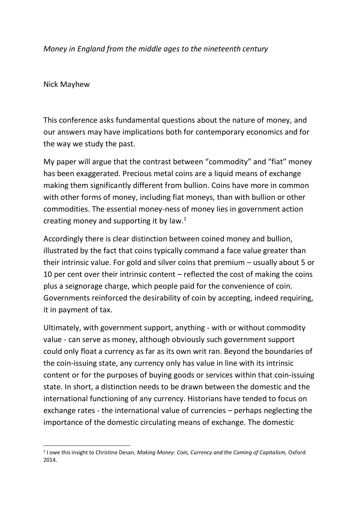# *Money in England from the middle ages to the nineteenth century*

#### Nick Mayhew

This conference asks fundamental questions about the nature of money, and our answers may have implications both for contemporary economics and for the way we study the past.

My paper will argue that the contrast between "commodity" and "fiat" money has been exaggerated. Precious metal coins are a liquid means of exchange making them significantly different from bullion. Coins have more in common with other forms of money, including fiat moneys, than with bullion or other commodities. The essential money-ness of money lies in government action creating money and supporting it by law. $1$ 

Accordingly there is clear distinction between coined money and bullion, illustrated by the fact that coins typically command a face value greater than their intrinsic value. For gold and silver coins that premium – usually about 5 or 10 per cent over their intrinsic content – reflected the cost of making the coins plus a seignorage charge, which people paid for the convenience of coin. Governments reinforced the desirability of coin by accepting, indeed requiring, it in payment of tax.

Ultimately, with government support, anything - with or without commodity value - can serve as money, although obviously such government support could only float a currency as far as its own writ ran. Beyond the boundaries of the coin-issuing state, any currency only has value in line with its intrinsic content or for the purposes of buying goods or services within that coin-issuing state. In short, a distinction needs to be drawn between the domestic and the international functioning of any currency. Historians have tended to focus on exchange rates - the international value of currencies – perhaps neglecting the importance of the domestic circulating means of exchange. The domestic

<sup>1</sup> <sup>1</sup> I owe this insight to Christine Desan, Making Money: Coin, Currency and the Coming of Capitalism, Oxford 2014.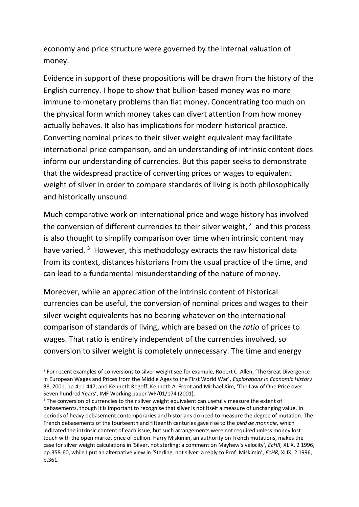economy and price structure were governed by the internal valuation of money.

Evidence in support of these propositions will be drawn from the history of the English currency. I hope to show that bullion-based money was no more immune to monetary problems than fiat money. Concentrating too much on the physical form which money takes can divert attention from how money actually behaves. It also has implications for modern historical practice. Converting nominal prices to their silver weight equivalent may facilitate international price comparison, and an understanding of intrinsic content does inform our understanding of currencies. But this paper seeks to demonstrate that the widespread practice of converting prices or wages to equivalent weight of silver in order to compare standards of living is both philosophically and historically unsound.

Much comparative work on international price and wage history has involved the conversion of different currencies to their silver weight,  $2$  and this process is also thought to simplify comparison over time when intrinsic content may have varied.<sup>3</sup> However, this methodology extracts the raw historical data from its context, distances historians from the usual practice of the time, and can lead to a fundamental misunderstanding of the nature of money.

Moreover, while an appreciation of the intrinsic content of historical currencies can be useful, the conversion of nominal prices and wages to their silver weight equivalents has no bearing whatever on the international comparison of standards of living, which are based on the *ratio* of prices to wages. That ratio is entirely independent of the currencies involved, so conversion to silver weight is completely unnecessary. The time and energy

<sup>1</sup> <sup>2</sup> For recent examples of conversions to silver weight see for example, Robert C. Allen, 'The Great Divergence in European Wages and Prices from the Middle Ages to the First World War', *Explorations in Economic History* 38, 2001, pp.411-447, and Kenneth Rogoff, Kenneth A. Froot and Michael Kim, 'The Law of One Price over Seven hundred Years', IMF Working paper WP/01/174 (2001).

<sup>&</sup>lt;sup>3</sup> The conversion of currencies to their silver weight equivalent can usefully measure the extent of debasements, though it is important to recognise that silver is not itself a measure of unchanging value. In periods of heavy debasement contemporaries and historians do need to measure the degree of mutation. The French debasements of the fourteenth and fifteenth centuries gave rise to the *pied de monnaie*, which indicated the intrinsic content of each issue, but such arrangements were not required unless money lost touch with the open market price of bullion. Harry Miskimin, an authority on French mutations, makes the case for silver weight calculations in 'Silver, not sterling: a comment on Mayhew's velocity', *EcHR,* XLIX, 2 1996, pp.358-60, while I put an alternative view in 'Sterling, not silver: a reply to Prof. Miskimin', *EcHR,* XLIX, 2 1996, p.361.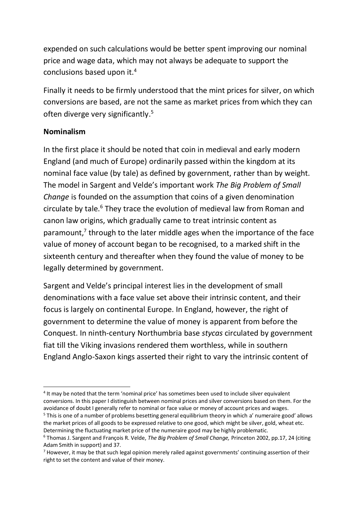expended on such calculations would be better spent improving our nominal price and wage data, which may not always be adequate to support the conclusions based upon it.<sup>4</sup>

Finally it needs to be firmly understood that the mint prices for silver, on which conversions are based, are not the same as market prices from which they can often diverge very significantly. 5

# **Nominalism**

1

In the first place it should be noted that coin in medieval and early modern England (and much of Europe) ordinarily passed within the kingdom at its nominal face value (by tale) as defined by government, rather than by weight. The model in Sargent and Velde's important work *The Big Problem of Small Change* is founded on the assumption that coins of a given denomination circulate by tale.<sup>6</sup> They trace the evolution of medieval law from Roman and canon law origins, which gradually came to treat intrinsic content as paramount,<sup>7</sup> through to the later middle ages when the importance of the face value of money of account began to be recognised, to a marked shift in the sixteenth century and thereafter when they found the value of money to be legally determined by government.

Sargent and Velde's principal interest lies in the development of small denominations with a face value set above their intrinsic content, and their focus is largely on continental Europe. In England, however, the right of government to determine the value of money is apparent from before the Conquest. In ninth-century Northumbria base *stycas* circulated by government fiat till the Viking invasions rendered them worthless, while in southern England Anglo-Saxon kings asserted their right to vary the intrinsic content of

<sup>&</sup>lt;sup>4</sup> It may be noted that the term 'nominal price' has sometimes been used to include silver equivalent conversions. In this paper I distinguish between nominal prices and silver conversions based on them. For the avoidance of doubt I generally refer to nominal or face value or money of account prices and wages.

<sup>&</sup>lt;sup>5</sup> This is one of a number of problems besetting general equilibrium theory in which a' numeraire good' allows the market prices of all goods to be expressed relative to one good, which might be silver, gold, wheat etc. Determining the fluctuating market price of the numeraire good may be highly problematic.

<sup>6</sup> Thomas J. Sargent and François R. Velde, *The Big Problem of Small Change,* Princeton 2002, pp.17, 24 (citing Adam Smith in support) and 37.

<sup>7</sup> However, it may be that such legal opinion merely railed against governments' continuing assertion of their right to set the content and value of their money.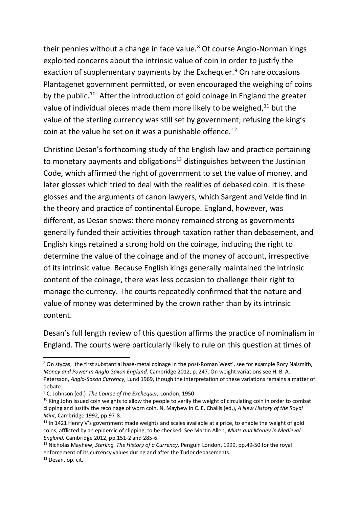their pennies without a change in face value.<sup>8</sup> Of course Anglo-Norman kings exploited concerns about the intrinsic value of coin in order to justify the exaction of supplementary payments by the Exchequer.<sup>9</sup> On rare occasions Plantagenet government permitted, or even encouraged the weighing of coins by the public.<sup>10</sup> After the introduction of gold coinage in England the greater value of individual pieces made them more likely to be weighed,<sup>11</sup> but the value of the sterling currency was still set by government; refusing the king's coin at the value he set on it was a punishable offence.<sup>12</sup>

Christine Desan's forthcoming study of the English law and practice pertaining to monetary payments and obligations<sup>13</sup> distinguishes between the Justinian Code, which affirmed the right of government to set the value of money, and later glosses which tried to deal with the realities of debased coin. It is these glosses and the arguments of canon lawyers, which Sargent and Velde find in the theory and practice of continental Europe. England, however, was different, as Desan shows: there money remained strong as governments generally funded their activities through taxation rather than debasement, and English kings retained a strong hold on the coinage, including the right to determine the value of the coinage and of the money of account, irrespective of its intrinsic value. Because English kings generally maintained the intrinsic content of the coinage, there was less occasion to challenge their right to manage the currency. The courts repeatedly confirmed that the nature and value of money was determined by the crown rather than by its intrinsic content.

Desan's full length review of this question affirms the practice of nominalism in England. The courts were particularly likely to rule on this question at times of

<sup>-</sup><sup>8</sup> On stycas, 'the first substantial base-metal coinage in the post-Roman West', see for example Rory Naismith, *Money and Power in Anglo-Saxon England,* Cambridge 2012, p. 247. On weight variations see H. B. A. Petersson, *Anglo-Saxon Currency,* Lund 1969, though the interpretation of these variations remains a matter of debate.

<sup>9</sup> C. Johnson (ed.) *The Course of the Exchequer,* London, 1950.

<sup>&</sup>lt;sup>10</sup> King John issued coin weights to allow the people to verify the weight of circulating coin in order to combat clipping and justify the recoinage of worn coin. N. Mayhew in C. E. Challis (ed.), *A New History of the Royal Mint,* Cambridge 1992, pp.97-8.

 $11$  In 1421 Henry V's government made weights and scales available at a price, to enable the weight of gold coins, afflicted by an epidemic of clipping, to be checked. See Martin Allen, *Mints and Money in Medieval England,* Cambridge 2012, pp.151-2 and 285-6.

<sup>12</sup> Nicholas Mayhew, *Sterling. The History of a Currency,* Penguin London, 1999, pp.49-50 for the royal enforcement of its currency values during and after the Tudor debasements.

<sup>&</sup>lt;sup>13</sup> Desan, op. cit.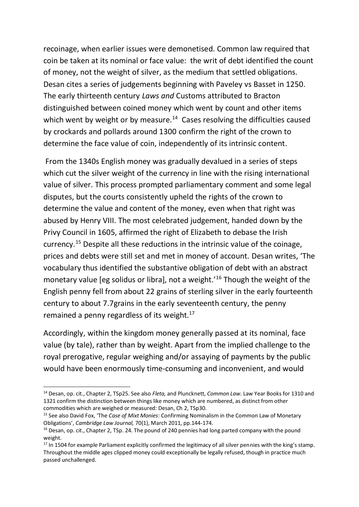recoinage, when earlier issues were demonetised. Common law required that coin be taken at its nominal or face value: the writ of debt identified the count of money, not the weight of silver, as the medium that settled obligations. Desan cites a series of judgements beginning with Paveley vs Basset in 1250. The early thirteenth century *Laws and* Customs attributed to Bracton distinguished between coined money which went by count and other items which went by weight or by measure. $14$  Cases resolving the difficulties caused by crockards and pollards around 1300 confirm the right of the crown to determine the face value of coin, independently of its intrinsic content.

From the 1340s English money was gradually devalued in a series of steps which cut the silver weight of the currency in line with the rising international value of silver. This process prompted parliamentary comment and some legal disputes, but the courts consistently upheld the rights of the crown to determine the value and content of the money, even when that right was abused by Henry VIII. The most celebrated judgement, handed down by the Privy Council in 1605, affirmed the right of Elizabeth to debase the Irish currency. <sup>15</sup> Despite all these reductions in the intrinsic value of the coinage, prices and debts were still set and met in money of account. Desan writes, 'The vocabulary thus identified the substantive obligation of debt with an abstract monetary value [eg solidus or libra], not a weight.<sup>'16</sup> Though the weight of the English penny fell from about 22 grains of sterling silver in the early fourteenth century to about 7.7grains in the early seventeenth century, the penny remained a penny regardless of its weight.<sup>17</sup>

Accordingly, within the kingdom money generally passed at its nominal, face value (by tale), rather than by weight. Apart from the implied challenge to the royal prerogative, regular weighing and/or assaying of payments by the public would have been enormously time-consuming and inconvenient, and would

1

<sup>14</sup> Desan, op. cit., Chapter 2, TSp25. See also *Fleta,* and Pluncknett, *Common Law.* Law Year Books for 1310 and 1321 confirm the distinction between things like money which are numbered, as distinct from other commodities which are weighed or measured: Desan, Ch 2, TSp30.

<sup>15</sup> See also David Fox, 'The *Case of Mixt Monies*: Confirming Nominalism in the Common Law of Monetary Obligations', *Cambridge Law Journal,* 70(1), March 2011, pp.144-174.

<sup>&</sup>lt;sup>16</sup> Desan, op. cit., Chapter 2, TSp. 24. The pound of 240 pennies had long parted company with the pound weight.

<sup>&</sup>lt;sup>17</sup> In 1504 for example Parliament explicitly confirmed the legitimacy of all silver pennies with the king's stamp. Throughout the middle ages clipped money could exceptionally be legally refused, though in practice much passed unchallenged.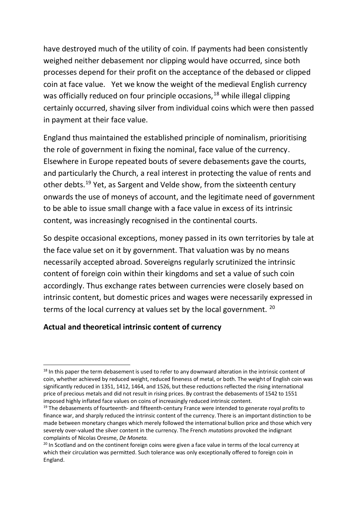have destroyed much of the utility of coin. If payments had been consistently weighed neither debasement nor clipping would have occurred, since both processes depend for their profit on the acceptance of the debased or clipped coin at face value. Yet we know the weight of the medieval English currency was officially reduced on four principle occasions,<sup>18</sup> while illegal clipping certainly occurred, shaving silver from individual coins which were then passed in payment at their face value.

England thus maintained the established principle of nominalism, prioritising the role of government in fixing the nominal, face value of the currency. Elsewhere in Europe repeated bouts of severe debasements gave the courts, and particularly the Church, a real interest in protecting the value of rents and other debts.<sup>19</sup> Yet, as Sargent and Velde show, from the sixteenth century onwards the use of moneys of account, and the legitimate need of government to be able to issue small change with a face value in excess of its intrinsic content, was increasingly recognised in the continental courts.

So despite occasional exceptions, money passed in its own territories by tale at the face value set on it by government. That valuation was by no means necessarily accepted abroad. Sovereigns regularly scrutinized the intrinsic content of foreign coin within their kingdoms and set a value of such coin accordingly. Thus exchange rates between currencies were closely based on intrinsic content, but domestic prices and wages were necessarily expressed in terms of the local currency at values set by the local government. <sup>20</sup>

# **Actual and theoretical intrinsic content of currency**

<sup>1</sup> <sup>18</sup> In this paper the term debasement is used to refer to any downward alteration in the intrinsic content of coin, whether achieved by reduced weight, reduced fineness of metal, or both. The weight of English coin was significantly reduced in 1351, 1412, 1464, and 1526, but these reductions reflected the rising international price of precious metals and did not result in rising prices. By contrast the debasements of 1542 to 1551 imposed highly inflated face values on coins of increasingly reduced intrinsic content.

 $19$  The debasements of fourteenth- and fifteenth-century France were intended to generate royal profits to finance war, and sharply reduced the intrinsic content of the currency. There is an important distinction to be made between monetary changes which merely followed the international bullion price and those which very severely over-valued the silver content in the currency. The French *mutations* provoked the indignant complaints of Nicolas Oresme, *De Moneta.*

<sup>&</sup>lt;sup>20</sup> In Scotland and on the continent foreign coins were given a face value in terms of the local currency at which their circulation was permitted. Such tolerance was only exceptionally offered to foreign coin in England.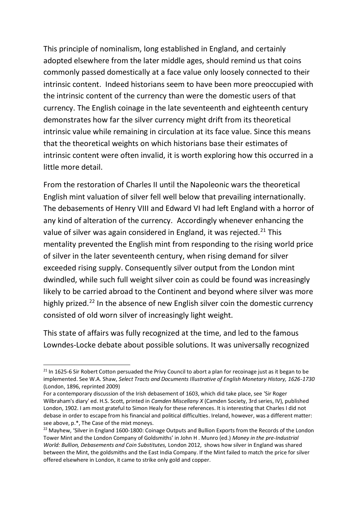This principle of nominalism, long established in England, and certainly adopted elsewhere from the later middle ages, should remind us that coins commonly passed domestically at a face value only loosely connected to their intrinsic content. Indeed historians seem to have been more preoccupied with the intrinsic content of the currency than were the domestic users of that currency. The English coinage in the late seventeenth and eighteenth century demonstrates how far the silver currency might drift from its theoretical intrinsic value while remaining in circulation at its face value. Since this means that the theoretical weights on which historians base their estimates of intrinsic content were often invalid, it is worth exploring how this occurred in a little more detail.

From the restoration of Charles II until the Napoleonic wars the theoretical English mint valuation of silver fell well below that prevailing internationally. The debasements of Henry VIII and Edward VI had left England with a horror of any kind of alteration of the currency. Accordingly whenever enhancing the value of silver was again considered in England, it was rejected.<sup>21</sup> This mentality prevented the English mint from responding to the rising world price of silver in the later seventeenth century, when rising demand for silver exceeded rising supply. Consequently silver output from the London mint dwindled, while such full weight silver coin as could be found was increasingly likely to be carried abroad to the Continent and beyond where silver was more highly prized.<sup>22</sup> In the absence of new English silver coin the domestic currency consisted of old worn silver of increasingly light weight.

This state of affairs was fully recognized at the time, and led to the famous Lowndes-Locke debate about possible solutions. It was universally recognized

<sup>1</sup> <sup>21</sup> In 1625-6 Sir Robert Cotton persuaded the Privy Council to abort a plan for recoinage just as it began to be implemented. See W.A. Shaw, *Select Tracts and Documents Illustrative of English Monetary History, 1626-1730* (London, 1896, reprinted 2009)

For a contemporary discussion of the Irish debasement of 1603, which did take place, see 'Sir Roger Wilbraham's diary' ed. H.S. Scott, printed in *Camden Miscellany X* (Camden Society, 3rd series, IV), published London, 1902. I am most grateful to Simon Healy for these references. It is interesting that Charles I did not debase in order to escape from his financial and political difficulties. Ireland, however, was a different matter: see above, p.\*, The Case of the mixt moneys.

<sup>&</sup>lt;sup>22</sup> Mayhew, 'Silver in England 1600-1800: Coinage Outputs and Bullion Exports from the Records of the London Tower Mint and the London Company of Goldsmiths' in John H . Munro (ed.) *Money in the pre-Industrial World: Bullion, Debasements and Coin Substitutes,* London 2012, shows how silver in England was shared between the Mint, the goldsmiths and the East India Company. If the Mint failed to match the price for silver offered elsewhere in London, it came to strike only gold and copper.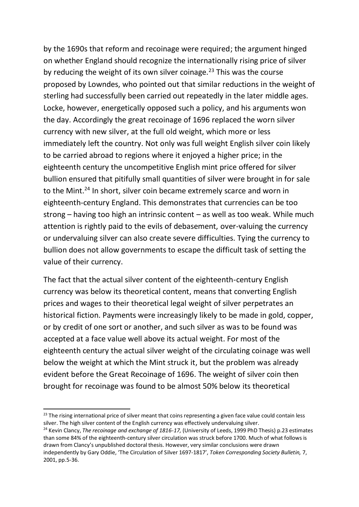by the 1690s that reform and recoinage were required; the argument hinged on whether England should recognize the internationally rising price of silver by reducing the weight of its own silver coinage.<sup>23</sup> This was the course proposed by Lowndes, who pointed out that similar reductions in the weight of sterling had successfully been carried out repeatedly in the later middle ages. Locke, however, energetically opposed such a policy, and his arguments won the day. Accordingly the great recoinage of 1696 replaced the worn silver currency with new silver, at the full old weight, which more or less immediately left the country. Not only was full weight English silver coin likely to be carried abroad to regions where it enjoyed a higher price; in the eighteenth century the uncompetitive English mint price offered for silver bullion ensured that pitifully small quantities of silver were brought in for sale to the Mint.<sup>24</sup> In short, silver coin became extremely scarce and worn in eighteenth-century England. This demonstrates that currencies can be too strong – having too high an intrinsic content – as well as too weak. While much attention is rightly paid to the evils of debasement, over-valuing the currency or undervaluing silver can also create severe difficulties. Tying the currency to bullion does not allow governments to escape the difficult task of setting the value of their currency.

The fact that the actual silver content of the eighteenth-century English currency was below its theoretical content, means that converting English prices and wages to their theoretical legal weight of silver perpetrates an historical fiction. Payments were increasingly likely to be made in gold, copper, or by credit of one sort or another, and such silver as was to be found was accepted at a face value well above its actual weight. For most of the eighteenth century the actual silver weight of the circulating coinage was well below the weight at which the Mint struck it, but the problem was already evident before the Great Recoinage of 1696. The weight of silver coin then brought for recoinage was found to be almost 50% below its theoretical

<sup>1</sup> <sup>23</sup> The rising international price of silver meant that coins representing a given face value could contain less silver. The high silver content of the English currency was effectively undervaluing silver.

<sup>24</sup> Kevin Clancy, *The recoinage and exchange of 1816-17,* (University of Leeds, 1999 PhD Thesis) p.23 estimates than some 84% of the eighteenth-century silver circulation was struck before 1700. Much of what follows is drawn from Clancy's unpublished doctoral thesis. However, very similar conclusions were drawn independently by Gary Oddie, 'The Circulation of Silver 1697-1817', *Token Corresponding Society Bulletin,* 7, 2001, pp.5-36.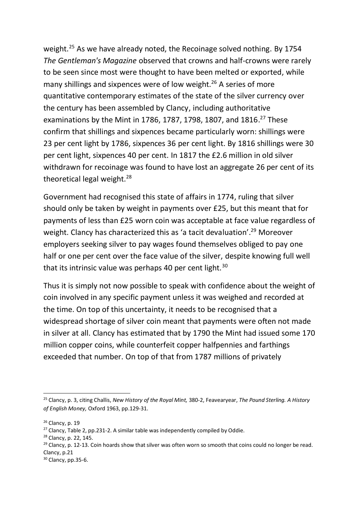weight.<sup>25</sup> As we have already noted, the Recoinage solved nothing. By 1754 *The Gentleman's Magazine* observed that crowns and half-crowns were rarely to be seen since most were thought to have been melted or exported, while many shillings and sixpences were of low weight.<sup>26</sup> A series of more quantitative contemporary estimates of the state of the silver currency over the century has been assembled by Clancy, including authoritative examinations by the Mint in 1786, 1787, 1798, 1807, and 1816.<sup>27</sup> These confirm that shillings and sixpences became particularly worn: shillings were 23 per cent light by 1786, sixpences 36 per cent light. By 1816 shillings were 30 per cent light, sixpences 40 per cent. In 1817 the £2.6 million in old silver withdrawn for recoinage was found to have lost an aggregate 26 per cent of its theoretical legal weight. $28$ 

Government had recognised this state of affairs in 1774, ruling that silver should only be taken by weight in payments over £25, but this meant that for payments of less than £25 worn coin was acceptable at face value regardless of weight. Clancy has characterized this as 'a tacit devaluation'.<sup>29</sup> Moreover employers seeking silver to pay wages found themselves obliged to pay one half or one per cent over the face value of the silver, despite knowing full well that its intrinsic value was perhaps 40 per cent light.<sup>30</sup>

Thus it is simply not now possible to speak with confidence about the weight of coin involved in any specific payment unless it was weighed and recorded at the time. On top of this uncertainty, it needs to be recognised that a widespread shortage of silver coin meant that payments were often not made in silver at all. Clancy has estimated that by 1790 the Mint had issued some 170 million copper coins, while counterfeit copper halfpennies and farthings exceeded that number. On top of that from 1787 millions of privately

<sup>1</sup> <sup>25</sup> Clancy, p. 3, citing Challis, *New History of the Royal Mint,* 380-2, Feavearyear, *The Pound Sterling. A History of English Money,* Oxford 1963, pp.129-31.

<sup>&</sup>lt;sup>26</sup> Clancy, p. 19

 $27$  Clancy, Table 2, pp.231-2. A similar table was independently compiled by Oddie.

<sup>28</sup> Clancy, p. 22, 145.

 $^{29}$  Clancy, p. 12-13. Coin hoards show that silver was often worn so smooth that coins could no longer be read. Clancy, p.21

<sup>30</sup> Clancy, pp.35-6.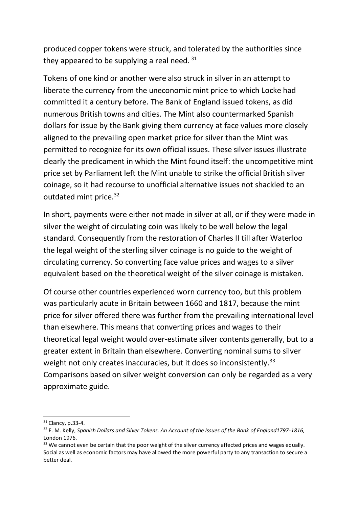produced copper tokens were struck, and tolerated by the authorities since they appeared to be supplying a real need.  $31$ 

Tokens of one kind or another were also struck in silver in an attempt to liberate the currency from the uneconomic mint price to which Locke had committed it a century before. The Bank of England issued tokens, as did numerous British towns and cities. The Mint also countermarked Spanish dollars for issue by the Bank giving them currency at face values more closely aligned to the prevailing open market price for silver than the Mint was permitted to recognize for its own official issues. These silver issues illustrate clearly the predicament in which the Mint found itself: the uncompetitive mint price set by Parliament left the Mint unable to strike the official British silver coinage, so it had recourse to unofficial alternative issues not shackled to an outdated mint price.<sup>32</sup>

In short, payments were either not made in silver at all, or if they were made in silver the weight of circulating coin was likely to be well below the legal standard. Consequently from the restoration of Charles II till after Waterloo the legal weight of the sterling silver coinage is no guide to the weight of circulating currency. So converting face value prices and wages to a silver equivalent based on the theoretical weight of the silver coinage is mistaken.

Of course other countries experienced worn currency too, but this problem was particularly acute in Britain between 1660 and 1817, because the mint price for silver offered there was further from the prevailing international level than elsewhere. This means that converting prices and wages to their theoretical legal weight would over-estimate silver contents generally, but to a greater extent in Britain than elsewhere. Converting nominal sums to silver weight not only creates inaccuracies, but it does so inconsistently.<sup>33</sup> Comparisons based on silver weight conversion can only be regarded as a very approximate guide.

-

<sup>&</sup>lt;sup>31</sup> Clancy, p.33-4.

<sup>32</sup> E. M. Kelly, *Spanish Dollars and Silver Tokens. An Account of the Issues of the Bank of England1797-1816,*  London 1976.

<sup>&</sup>lt;sup>33</sup> We cannot even be certain that the poor weight of the silver currency affected prices and wages equally. Social as well as economic factors may have allowed the more powerful party to any transaction to secure a better deal.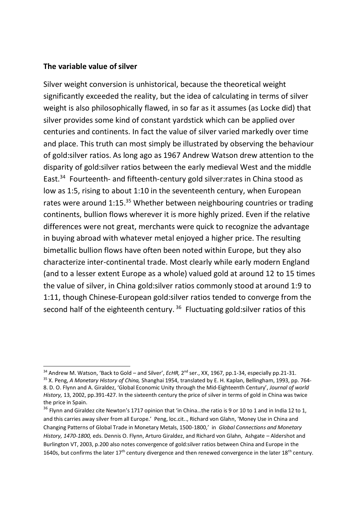#### **The variable value of silver**

Silver weight conversion is unhistorical, because the theoretical weight significantly exceeded the reality, but the idea of calculating in terms of silver weight is also philosophically flawed, in so far as it assumes (as Locke did) that silver provides some kind of constant yardstick which can be applied over centuries and continents. In fact the value of silver varied markedly over time and place. This truth can most simply be illustrated by observing the behaviour of gold:silver ratios. As long ago as 1967 Andrew Watson drew attention to the disparity of gold:silver ratios between the early medieval West and the middle East.<sup>34</sup> Fourteenth- and fifteenth-century gold silver:rates in China stood as low as 1:5, rising to about 1:10 in the seventeenth century, when European rates were around 1:15.<sup>35</sup> Whether between neighbouring countries or trading continents, bullion flows wherever it is more highly prized. Even if the relative differences were not great, merchants were quick to recognize the advantage in buying abroad with whatever metal enjoyed a higher price. The resulting bimetallic bullion flows have often been noted within Europe, but they also characterize inter-continental trade. Most clearly while early modern England (and to a lesser extent Europe as a whole) valued gold at around 12 to 15 times the value of silver, in China gold:silver ratios commonly stood at around 1:9 to 1:11, though Chinese-European gold:silver ratios tended to converge from the second half of the eighteenth century.  $36$  Fluctuating gold: silver ratios of this

<sup>1</sup> <sup>34</sup> Andrew M. Watson, 'Back to Gold – and Silver', *EcHR,* 2<sup>nd</sup> ser., XX, 1967, pp.1-34, especially pp.21-31. <sup>35</sup> X. Peng, *A Monetary History of China,* Shanghai 1954, translated by E. H. Kaplan, Bellingham, 1993, pp. 764- 8. D. O. Flynn and A. Giraldez, 'Global Economic Unity through the Mid-Eighteenth Century', *Journal of world History,* 13, 2002, pp.391-427. In the sixteenth century the price of silver in terms of gold in China was twice the price in Spain.

 $36$  Flynn and Giraldez cite Newton's 1717 opinion that 'in China...the ratio is 9 or 10 to 1 and in India 12 to 1, and this carries away silver from all Europe.' Peng, loc.cit.., Richard von Glahn, 'Money Use in China and Changing Patterns of Global Trade in Monetary Metals, 1500-1800,' in *Global Connections and Monetary History, 1470-1800,* eds. Dennis O. Flynn, Arturo Giraldez, and Richard von Glahn, Ashgate – Aldershot and Burlington VT, 2003, p.200 also notes convergence of gold:silver ratios between China and Europe in the 1640s, but confirms the later 17<sup>th</sup> century divergence and then renewed convergence in the later 18<sup>th</sup> century.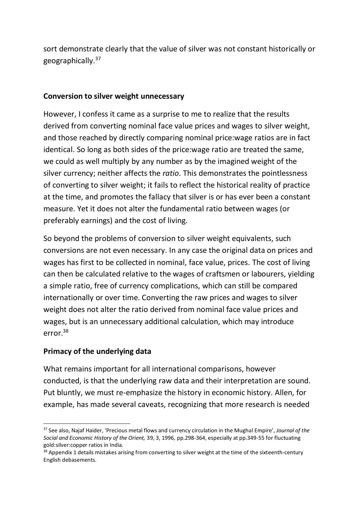sort demonstrate clearly that the value of silver was not constant historically or geographically.<sup>37</sup>

# **Conversion to silver weight unnecessary**

However, I confess it came as a surprise to me to realize that the results derived from converting nominal face value prices and wages to silver weight, and those reached by directly comparing nominal price:wage ratios are in fact identical. So long as both sides of the price:wage ratio are treated the same, we could as well multiply by any number as by the imagined weight of the silver currency; neither affects the *ratio*. This demonstrates the pointlessness of converting to silver weight; it fails to reflect the historical reality of practice at the time, and promotes the fallacy that silver is or has ever been a constant measure. Yet it does not alter the fundamental ratio between wages (or preferably earnings) and the cost of living.

So beyond the problems of conversion to silver weight equivalents, such conversions are not even necessary. In any case the original data on prices and wages has first to be collected in nominal, face value, prices. The cost of living can then be calculated relative to the wages of craftsmen or labourers, yielding a simple ratio, free of currency complications, which can still be compared internationally or over time. Converting the raw prices and wages to silver weight does not alter the ratio derived from nominal face value prices and wages, but is an unnecessary additional calculation, which may introduce error.<sup>38</sup>

# **Primacy of the underlying data**

What remains important for all international comparisons, however conducted, is that the underlying raw data and their interpretation are sound. Put bluntly, we must re-emphasize the history in economic history. Allen, for example, has made several caveats, recognizing that more research is needed

<sup>1</sup> <sup>37</sup> See also, Najaf Haider, 'Precious metal flows and currency circulation in the Mughal Empire', *Journal of the Social and Economic History of the Orient,* 39, 3, 1996, pp.298-364, especially at pp.349-55 for fluctuating gold:silver:copper ratios in India.

<sup>&</sup>lt;sup>38</sup> Appendix 1 details mistakes arising from converting to silver weight at the time of the sixteenth-century English debasements.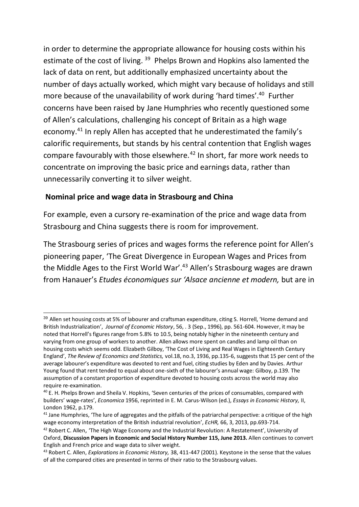in order to determine the appropriate allowance for housing costs within his estimate of the cost of living. <sup>39</sup> Phelps Brown and Hopkins also lamented the lack of data on rent, but additionally emphasized uncertainty about the number of days actually worked, which might vary because of holidays and still more because of the unavailability of work during 'hard times'.<sup>40</sup> Further concerns have been raised by Jane Humphries who recently questioned some of Allen's calculations, challenging his concept of Britain as a high wage economy.<sup>41</sup> In reply Allen has accepted that he underestimated the family's calorific requirements, but stands by his central contention that English wages compare favourably with those elsewhere.<sup>42</sup> In short, far more work needs to concentrate on improving the basic price and earnings data, rather than unnecessarily converting it to silver weight.

# **Nominal price and wage data in Strasbourg and China**

-

For example, even a cursory re-examination of the price and wage data from Strasbourg and China suggests there is room for improvement.

The Strasbourg series of prices and wages forms the reference point for Allen's pioneering paper, 'The Great Divergence in European Wages and Prices from the Middle Ages to the First World War'.<sup>43</sup> Allen's Strasbourg wages are drawn from Hanauer's *Etudes économiques sur 'Alsace ancienne et modern,* but are in

<sup>&</sup>lt;sup>39</sup> Allen set housing costs at 5% of labourer and craftsman expenditure, citing S. Horrell, 'Home demand and British Industrialization', *Journal of Economic History*, 56, . 3 (Sep., 1996), pp. 561-604. However, it may be noted that Horrell's figures range from 5.8% to 10.5, being notably higher in the nineteenth century and varying from one group of workers to another. Allen allows more spent on candles and lamp oil than on housing costs which seems odd. Elizabeth Gilboy, 'The Cost of Living and Real Wages in Eighteenth Century England', *The Review of Economics and Statistics,* vol.18, no.3, 1936, pp.135-6, suggests that 15 per cent of the average labourer's expenditure was devoted to rent and fuel, citing studies by Eden and by Davies. Arthur Young found that rent tended to equal about one-sixth of the labourer's annual wage: Gilboy, p.139. The assumption of a constant proportion of expenditure devoted to housing costs across the world may also require re-examination.

<sup>&</sup>lt;sup>40</sup> E. H. Phelps Brown and Sheila V. Hopkins, 'Seven centuries of the prices of consumables, compared with builders' wage-rates', *Economica* 1956, reprinted in E. M. Carus-Wilson (ed.), *Essays in Economic History,* II, London 1962, p.179.

<sup>&</sup>lt;sup>41</sup> Jane Humphries, 'The lure of aggregates and the pitfalls of the patriarchal perspective: a critique of the high wage economy interpretation of the British industrial revolution', *EcHR,* 66, 3, 2013, pp.693-714.

<sup>&</sup>lt;sup>42</sup> Robert C. Allen, 'The High Wage Economy and the Industrial Revolution: A Restatement', University of Oxford, **Discussion Papers in Economic and Social History Number 115, June 2013.** Allen continues to convert English and French price and wage data to silver weight.

<sup>43</sup> Robert C. Allen, *Explorations in Economic History,* 38, 411-447 (2001). Keystone in the sense that the values of all the compared cities are presented in terms of their ratio to the Strasbourg values.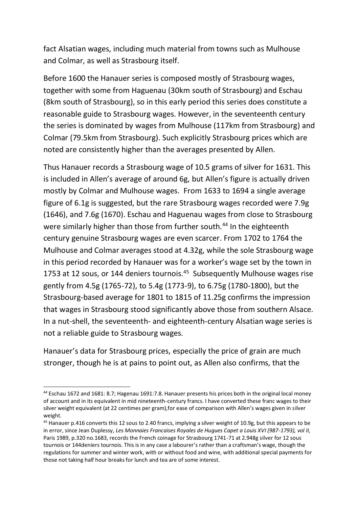fact Alsatian wages, including much material from towns such as Mulhouse and Colmar, as well as Strasbourg itself.

Before 1600 the Hanauer series is composed mostly of Strasbourg wages, together with some from Haguenau (30km south of Strasbourg) and Eschau (8km south of Strasbourg), so in this early period this series does constitute a reasonable guide to Strasbourg wages. However, in the seventeenth century the series is dominated by wages from Mulhouse (117km from Strasbourg) and Colmar (79.5km from Strasbourg). Such explicitly Strasbourg prices which are noted are consistently higher than the averages presented by Allen.

Thus Hanauer records a Strasbourg wage of 10.5 grams of silver for 1631. This is included in Allen's average of around 6g, but Allen's figure is actually driven mostly by Colmar and Mulhouse wages. From 1633 to 1694 a single average figure of 6.1g is suggested, but the rare Strasbourg wages recorded were 7.9g (1646), and 7.6g (1670). Eschau and Haguenau wages from close to Strasbourg were similarly higher than those from further south.<sup>44</sup> In the eighteenth century genuine Strasbourg wages are even scarcer. From 1702 to 1764 the Mulhouse and Colmar averages stood at 4.32g, while the sole Strasbourg wage in this period recorded by Hanauer was for a worker's wage set by the town in 1753 at 12 sous, or 144 deniers tournois.<sup>45</sup> Subsequently Mulhouse wages rise gently from 4.5g (1765-72), to 5.4g (1773-9), to 6.75g (1780-1800), but the Strasbourg-based average for 1801 to 1815 of 11.25g confirms the impression that wages in Strasbourg stood significantly above those from southern Alsace. In a nut-shell, the seventeenth- and eighteenth-century Alsatian wage series is not a reliable guide to Strasbourg wages.

Hanauer's data for Strasbourg prices, especially the price of grain are much stronger, though he is at pains to point out, as Allen also confirms, that the

<sup>1</sup> <sup>44</sup> Eschau 1672 and 1681: 8.7; Hagenau 1691:7.8. Hanauer presents his prices both in the original local money of account and in its equivalent in mid nineteenth-century francs. I have converted these franc wages to their silver weight equivalent (at 22 centimes per gram),for ease of comparison with Allen's wages given in silver weight.

<sup>&</sup>lt;sup>45</sup> Hanauer p.416 converts this 12 sous to 2.40 francs, implying a silver weight of 10.9g, but this appears to be in error, since Jean Duplessy, *Les Monnaies Francaises Royales de Hugues Capet a Louis XVI (987-1793), vol II,*  Paris 1989, p.320 no.1683, records the French coinage for Strasbourg 1741-71 at 2.948g silver for 12 sous tournois or 144deniers tournois. This is in any case a labourer's rather than a craftsman's wage, though the regulations for summer and winter work, with or without food and wine, with additional special payments for those not taking half hour breaks for lunch and tea are of some interest.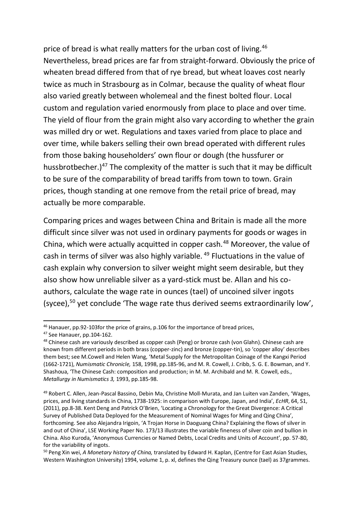price of bread is what really matters for the urban cost of living.<sup>46</sup> Nevertheless, bread prices are far from straight-forward. Obviously the price of wheaten bread differed from that of rye bread, but wheat loaves cost nearly twice as much in Strasbourg as in Colmar, because the quality of wheat flour also varied greatly between wholemeal and the finest bolted flour. Local custom and regulation varied enormously from place to place and over time. The yield of flour from the grain might also vary according to whether the grain was milled dry or wet. Regulations and taxes varied from place to place and over time, while bakers selling their own bread operated with different rules from those baking householders' own flour or dough (the hussfurer or hussbrotbecher.)<sup>47</sup> The complexity of the matter is such that it may be difficult to be sure of the comparability of bread tariffs from town to town. Grain prices, though standing at one remove from the retail price of bread, may actually be more comparable.

Comparing prices and wages between China and Britain is made all the more difficult since silver was not used in ordinary payments for goods or wages in China, which were actually acquitted in copper cash.<sup>48</sup> Moreover, the value of cash in terms of silver was also highly variable*.* <sup>49</sup> Fluctuations in the value of cash explain why conversion to silver weight might seem desirable, but they also show how unreliable silver as a yard-stick must be. Allan and his coauthors, calculate the wage rate in ounces (tael) of uncoined silver ingots (sycee),<sup>50</sup> yet conclude 'The wage rate thus derived seems extraordinarily low',

<sup>-</sup> $46$  Hanauer, pp.92-103for the price of grains, p.106 for the importance of bread prices,

<sup>47</sup> See Hanauer, pp.104-162.

<sup>&</sup>lt;sup>48</sup> Chinese cash are variously described as copper cash (Peng) or bronze cash (von Glahn). Chinese cash are known from different periods in both brass (copper-zinc) and bronze (copper-tin), so 'copper alloy' describes them best; see M.Cowell and Helen Wang, 'Metal Supply for the Metropolitan Coinage of the Kangxi Period (1662-1721), *Numismatic Chronicle,* 158, 1998, pp.185-96, and M. R. Cowell, J. Cribb, S. G. E. Bowman, and Y. Shashoua, 'The Chinese Cash: composition and production; in M. M. Archibald and M. R. Cowell, eds., *Metallurgy in Numismatics 3,* 1993, pp.185-98.

<sup>49</sup> Robert C. Allen, Jean-Pascal Bassino, Debin Ma, Christine Moll-Murata, and Jan Luiten van Zanden, 'Wages, prices, and living standards in China, 1738-1925: in comparison with Europe, Japan, and India', *EcHR*, 64, S1, (2011), pp.8-38. Kent Deng and Patrick O'Brien, 'Locating a Chronology for the Great Divergence: A Critical Survey of Published Data Deployed for the Measurement of Nominal Wages for Ming and Qing China', forthcoming. See also Alejandra Irigoin, 'A Trojan Horse in Daoguang China? Explaining the flows of silver in and out of China', LSE Working Paper No. 173/13 illustrates the variable fineness of silver coin and bullion in China. Also Kuroda, 'Anonymous Currencies or Named Debts, Local Credits and Units of Account', pp. 57-80, for the variability of ingots.

<sup>50</sup> Peng Xin wei, *A Monetary history of China,* translated by Edward H. Kaplan, (Centre for East Asian Studies, Western Washington University) 1994, volume 1, p. xl, defines the Qing Treasury ounce (tael) as 37grammes.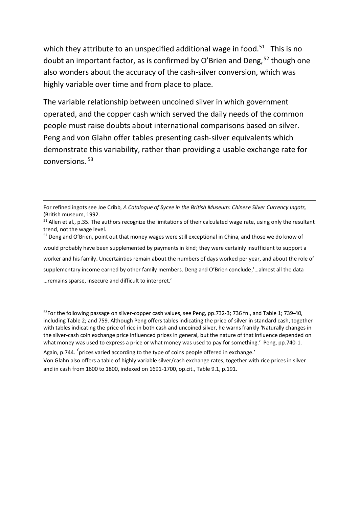which they attribute to an unspecified additional wage in food. $51$  This is no doubt an important factor, as is confirmed by O'Brien and Deng,<sup>52</sup> though one also wonders about the accuracy of the cash-silver conversion, which was highly variable over time and from place to place.

The variable relationship between uncoined silver in which government operated, and the copper cash which served the daily needs of the common people must raise doubts about international comparisons based on silver. Peng and von Glahn offer tables presenting cash-silver equivalents which demonstrate this variability, rather than providing a usable exchange rate for conversions. <sup>53</sup>

-

<sup>52</sup> Deng and O'Brien, point out that money wages were still exceptional in China, and those we do know of would probably have been supplemented by payments in kind; they were certainly insufficient to support a worker and his family. Uncertainties remain about the numbers of days worked per year, and about the role of supplementary income earned by other family members. Deng and O'Brien conclude,'…almost all the data …remains sparse, insecure and difficult to interpret.'

<sup>53</sup>For the following passage on silver-copper cash values, see Peng, pp.732-3; 736 fn., and Table 1; 739-40, including Table 2; and 759. Although Peng offers tables indicating the price of silver in standard cash, together with tables indicating the price of rice in both cash and uncoined silver, he warns frankly 'Naturally changes in the silver-cash coin exchange price influenced prices in general, but the nature of that influence depended on what money was used to express a price or what money was used to pay for something.' Peng, pp.740-1.

Again, p.744. 'prices varied according to the type of coins people offered in exchange.' Von Glahn also offers a table of highly variable silver/cash exchange rates, together with rice prices in silver and in cash from 1600 to 1800, indexed on 1691-1700, op.cit., Table 9.1, p.191.

For refined ingots see Joe Cribb, *A Catalogue of Sycee in the British Museum: Chinese Silver Currency Ingots,*  (British museum, 1992.

<sup>&</sup>lt;sup>51</sup> Allen et al., p.35. The authors recognize the limitations of their calculated wage rate, using only the resultant trend, not the wage level.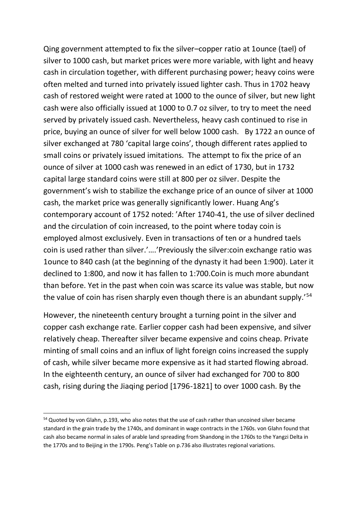Qing government attempted to fix the silver–copper ratio at 1ounce (tael) of silver to 1000 cash, but market prices were more variable, with light and heavy cash in circulation together, with different purchasing power; heavy coins were often melted and turned into privately issued lighter cash. Thus in 1702 heavy cash of restored weight were rated at 1000 to the ounce of silver, but new light cash were also officially issued at 1000 to 0.7 oz silver, to try to meet the need served by privately issued cash. Nevertheless, heavy cash continued to rise in price, buying an ounce of silver for well below 1000 cash. By 1722 an ounce of silver exchanged at 780 'capital large coins', though different rates applied to small coins or privately issued imitations. The attempt to fix the price of an ounce of silver at 1000 cash was renewed in an edict of 1730, but in 1732 capital large standard coins were still at 800 per oz silver. Despite the government's wish to stabilize the exchange price of an ounce of silver at 1000 cash, the market price was generally significantly lower. Huang Ang's contemporary account of 1752 noted: 'After 1740-41, the use of silver declined and the circulation of coin increased, to the point where today coin is employed almost exclusively. Even in transactions of ten or a hundred taels coin is used rather than silver.'….'Previously the silver:coin exchange ratio was 1ounce to 840 cash (at the beginning of the dynasty it had been 1:900). Later it declined to 1:800, and now it has fallen to 1:700.Coin is much more abundant than before. Yet in the past when coin was scarce its value was stable, but now the value of coin has risen sharply even though there is an abundant supply.<sup>'54</sup>

However, the nineteenth century brought a turning point in the silver and copper cash exchange rate. Earlier copper cash had been expensive, and silver relatively cheap. Thereafter silver became expensive and coins cheap. Private minting of small coins and an influx of light foreign coins increased the supply of cash, while silver became more expensive as it had started flowing abroad. In the eighteenth century, an ounce of silver had exchanged for 700 to 800 cash, rising during the Jiaqing period [1796-1821] to over 1000 cash. By the

1

<sup>&</sup>lt;sup>54</sup> Quoted by von Glahn, p.193, who also notes that the use of cash rather than uncoined silver became standard in the grain trade by the 1740s, and dominant in wage contracts in the 1760s. von Glahn found that cash also became normal in sales of arable land spreading from Shandong in the 1760s to the Yangzi Delta in the 1770s and to Beijing in the 1790s. Peng's Table on p.736 also illustrates regional variations.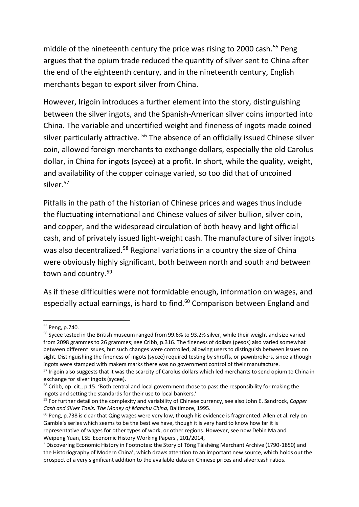middle of the nineteenth century the price was rising to 2000 cash.<sup>55</sup> Peng argues that the opium trade reduced the quantity of silver sent to China after the end of the eighteenth century, and in the nineteenth century, English merchants began to export silver from China.

However, Irigoin introduces a further element into the story, distinguishing between the silver ingots, and the Spanish-American silver coins imported into China. The variable and uncertified weight and fineness of ingots made coined silver particularly attractive. <sup>56</sup> The absence of an officially issued Chinese silver coin, allowed foreign merchants to exchange dollars, especially the old Carolus dollar, in China for ingots (sycee) at a profit. In short, while the quality, weight, and availability of the copper coinage varied, so too did that of uncoined silver.<sup>57</sup>

Pitfalls in the path of the historian of Chinese prices and wages thus include the fluctuating international and Chinese values of silver bullion, silver coin, and copper, and the widespread circulation of both heavy and light official cash, and of privately issued light-weight cash. The manufacture of silver ingots was also decentralized.<sup>58</sup> Regional variations in a country the size of China were obviously highly significant, both between north and south and between town and country.<sup>59</sup>

As if these difficulties were not formidable enough, information on wages, and especially actual earnings, is hard to find.<sup>60</sup> Comparison between England and

-<sup>55</sup> Peng, p.740.

<sup>&</sup>lt;sup>56</sup> Sycee tested in the British museum ranged from 99.6% to 93.2% silver, while their weight and size varied from 2098 grammes to 26 grammes; see Cribb, p.316. The fineness of dollars (pesos) also varied somewhat between different issues, but such changes were controlled, allowing users to distinguish between issues on sight. Distinguishing the fineness of ingots (sycee) required testing by shroffs, or pawnbrokers, since although ingots were stamped with makers marks there was no government control of their manufacture.

<sup>&</sup>lt;sup>57</sup> Irigoin also suggests that it was the scarcity of Carolus dollars which led merchants to send opium to China in exchange for silver ingots (sycee).

<sup>&</sup>lt;sup>58</sup> Cribb, op. cit., p.15: 'Both central and local government chose to pass the responsibility for making the ingots and setting the standards for their use to local bankers.'

<sup>59</sup> For further detail on the complexity and variability of Chinese currency, see also John E. Sandrock, *Copper Cash and Silver Taels. The Money of Manchu China,* Baltimore, 1995.

 $60$  Peng, p.738 is clear that Qing wages were very low, though his evidence is fragmented. Allen et al. rely on Gamble's series which seems to be the best we have, though it is very hard to know how far it is representative of wages for other types of work, or other regions. However, see now Debin Ma and Weipeng Yuan, LSE Economic History Working Papers , 201/2014,

<sup>&#</sup>x27; Discovering Economic History in Footnotes: the Story of Tŏng Tàishēng Merchant Archive (1790-1850) and the Historiography of Modern China', which draws attention to an important new source, which holds out the prospect of a very significant addition to the available data on Chinese prices and silver:cash ratios.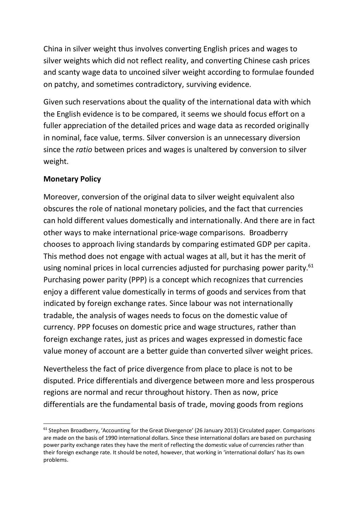China in silver weight thus involves converting English prices and wages to silver weights which did not reflect reality, and converting Chinese cash prices and scanty wage data to uncoined silver weight according to formulae founded on patchy, and sometimes contradictory, surviving evidence.

Given such reservations about the quality of the international data with which the English evidence is to be compared, it seems we should focus effort on a fuller appreciation of the detailed prices and wage data as recorded originally in nominal, face value, terms. Silver conversion is an unnecessary diversion since the *ratio* between prices and wages is unaltered by conversion to silver weight.

# **Monetary Policy**

Moreover, conversion of the original data to silver weight equivalent also obscures the role of national monetary policies, and the fact that currencies can hold different values domestically and internationally. And there are in fact other ways to make international price-wage comparisons. Broadberry chooses to approach living standards by comparing estimated GDP per capita. This method does not engage with actual wages at all, but it has the merit of using nominal prices in local currencies adjusted for purchasing power parity.<sup>61</sup> Purchasing power parity (PPP) is a concept which recognizes that currencies enjoy a different value domestically in terms of goods and services from that indicated by foreign exchange rates. Since labour was not internationally tradable, the analysis of wages needs to focus on the domestic value of currency. PPP focuses on domestic price and wage structures, rather than foreign exchange rates, just as prices and wages expressed in domestic face value money of account are a better guide than converted silver weight prices.

Nevertheless the fact of price divergence from place to place is not to be disputed. Price differentials and divergence between more and less prosperous regions are normal and recur throughout history. Then as now, price differentials are the fundamental basis of trade, moving goods from regions

<sup>1</sup> <sup>61</sup> Stephen Broadberry, 'Accounting for the Great Divergence' (26 January 2013) Circulated paper. Comparisons are made on the basis of 1990 international dollars. Since these international dollars are based on purchasing power parity exchange rates they have the merit of reflecting the domestic value of currencies rather than their foreign exchange rate. It should be noted, however, that working in 'international dollars' has its own problems.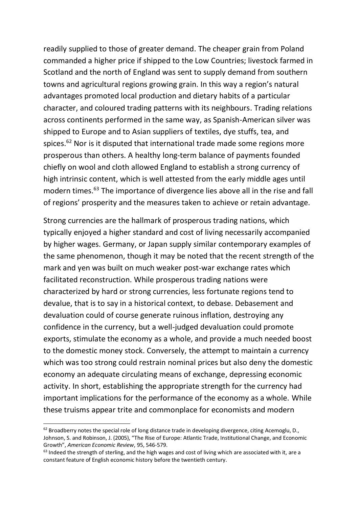readily supplied to those of greater demand. The cheaper grain from Poland commanded a higher price if shipped to the Low Countries; livestock farmed in Scotland and the north of England was sent to supply demand from southern towns and agricultural regions growing grain. In this way a region's natural advantages promoted local production and dietary habits of a particular character, and coloured trading patterns with its neighbours. Trading relations across continents performed in the same way, as Spanish-American silver was shipped to Europe and to Asian suppliers of textiles, dye stuffs, tea, and spices.<sup>62</sup> Nor is it disputed that international trade made some regions more prosperous than others. A healthy long-term balance of payments founded chiefly on wool and cloth allowed England to establish a strong currency of high intrinsic content, which is well attested from the early middle ages until modern times.<sup>63</sup> The importance of divergence lies above all in the rise and fall of regions' prosperity and the measures taken to achieve or retain advantage.

Strong currencies are the hallmark of prosperous trading nations, which typically enjoyed a higher standard and cost of living necessarily accompanied by higher wages. Germany, or Japan supply similar contemporary examples of the same phenomenon, though it may be noted that the recent strength of the mark and yen was built on much weaker post-war exchange rates which facilitated reconstruction. While prosperous trading nations were characterized by hard or strong currencies, less fortunate regions tend to devalue, that is to say in a historical context, to debase. Debasement and devaluation could of course generate ruinous inflation, destroying any confidence in the currency, but a well-judged devaluation could promote exports, stimulate the economy as a whole, and provide a much needed boost to the domestic money stock. Conversely, the attempt to maintain a currency which was too strong could restrain nominal prices but also deny the domestic economy an adequate circulating means of exchange, depressing economic activity. In short, establishing the appropriate strength for the currency had important implications for the performance of the economy as a whole. While these truisms appear trite and commonplace for economists and modern

1

<sup>&</sup>lt;sup>62</sup> Broadberry notes the special role of long distance trade in developing divergence, citing Acemoglu, D., Johnson, S. and Robinson, J. (2005), "The Rise of Europe: Atlantic Trade, Institutional Change, and Economic Growth", *American Economic Review*, 95, 546-579.

 $63$  Indeed the strength of sterling, and the high wages and cost of living which are associated with it, are a constant feature of English economic history before the twentieth century.